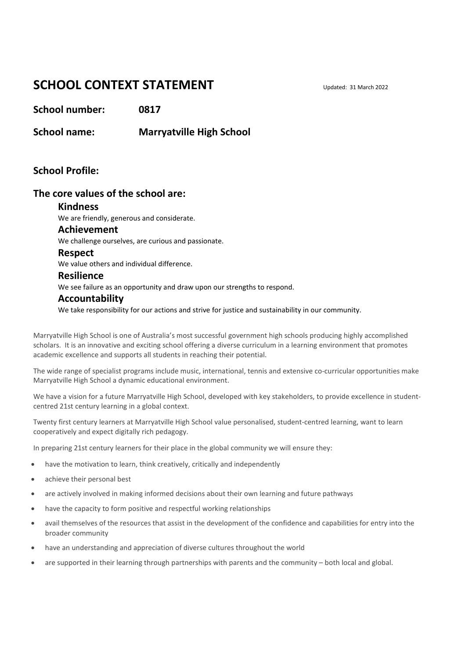# **SCHOOL CONTEXT STATEMENT**

**School number: 0817**

**School name: Marryatville High School**

# **School Profile:**

### **The core values of the school are:**

#### **Kindness**

We are friendly, generous and considerate.

#### **Achievement**

We challenge ourselves, are curious and passionate.

#### **Respect**

We value others and individual difference.

#### **Resilience**

We see failure as an opportunity and draw upon our strengths to respond.

### **Accountability**

We take responsibility for our actions and strive for justice and sustainability in our community.

Marryatville High School is one of Australia's most successful government high schools producing highly accomplished scholars. It is an innovative and exciting school offering a diverse curriculum in a learning environment that promotes academic excellence and supports all students in reaching their potential.

The wide range of specialist programs include music, international, tennis and extensive co-curricular opportunities make Marryatville High School a dynamic educational environment.

We have a vision for a future Marryatville High School, developed with key stakeholders, to provide excellence in studentcentred 21st century learning in a global context.

Twenty first century learners at Marryatville High School value personalised, student-centred learning, want to learn cooperatively and expect digitally rich pedagogy.

In preparing 21st century learners for their place in the global community we will ensure they:

- have the motivation to learn, think creatively, critically and independently
- achieve their personal best
- are actively involved in making informed decisions about their own learning and future pathways
- have the capacity to form positive and respectful working relationships
- avail themselves of the resources that assist in the development of the confidence and capabilities for entry into the broader community
- have an understanding and appreciation of diverse cultures throughout the world
- are supported in their learning through partnerships with parents and the community both local and global.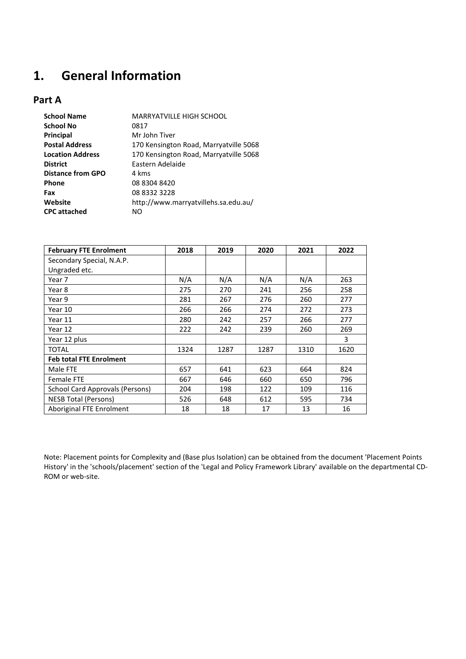# **1. General Information**

# **Part A**

| <b>School Name</b>       | <b>MARRYATVILLE HIGH SCHOOL</b>        |
|--------------------------|----------------------------------------|
| <b>School No</b>         | 0817                                   |
| Principal                | Mr John Tiver                          |
| <b>Postal Address</b>    | 170 Kensington Road, Marryatville 5068 |
| <b>Location Address</b>  | 170 Kensington Road, Marryatville 5068 |
| <b>District</b>          | Eastern Adelaide                       |
| <b>Distance from GPO</b> | 4 kms                                  |
| <b>Phone</b>             | 08 8304 8420                           |
| Fax                      | 08 8332 3228                           |
| Website                  | http://www.marryatvillehs.sa.edu.au/   |
| <b>CPC</b> attached      | NO                                     |
|                          |                                        |

| <b>February FTE Enrolment</b>   | 2018 | 2019 | 2020 | 2021 | 2022 |
|---------------------------------|------|------|------|------|------|
| Secondary Special, N.A.P.       |      |      |      |      |      |
| Ungraded etc.                   |      |      |      |      |      |
| Year 7                          | N/A  | N/A  | N/A  | N/A  | 263  |
| Year 8                          | 275  | 270  | 241  | 256  | 258  |
| Year 9                          | 281  | 267  | 276  | 260  | 277  |
| Year 10                         | 266  | 266  | 274  | 272  | 273  |
| Year 11                         | 280  | 242  | 257  | 266  | 277  |
| Year 12                         | 222  | 242  | 239  | 260  | 269  |
| Year 12 plus                    |      |      |      |      | 3    |
| <b>TOTAL</b>                    | 1324 | 1287 | 1287 | 1310 | 1620 |
| <b>Feb total FTE Enrolment</b>  |      |      |      |      |      |
| Male FTE                        | 657  | 641  | 623  | 664  | 824  |
| <b>Female FTE</b>               | 667  | 646  | 660  | 650  | 796  |
| School Card Approvals (Persons) | 204  | 198  | 122  | 109  | 116  |
| <b>NESB Total (Persons)</b>     | 526  | 648  | 612  | 595  | 734  |
| Aboriginal FTE Enrolment        | 18   | 18   | 17   | 13   | 16   |

Note: Placement points for Complexity and (Base plus Isolation) can be obtained from the document 'Placement Points History' in the 'schools/placement' section of the 'Legal and Policy Framework Library' available on the departmental CD-ROM or web-site.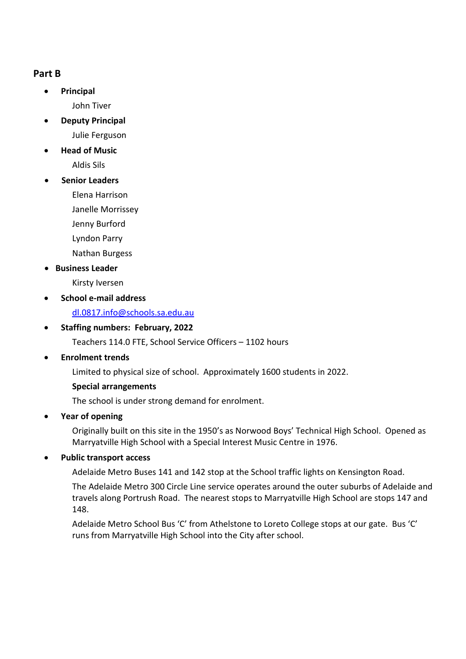# **Part B**

• **Principal**

John Tiver

- **Deputy Principal**
	- Julie Ferguson
- **Head of Music** Aldis Sils
- **Senior Leaders**
	- Elena Harrison
	- Janelle Morrissey
	- Jenny Burford
	- Lyndon Parry
	- Nathan Burgess
- **Business Leader**
	- Kirsty Iversen
- **School e-mail address**
	- [dl.0817.info@schools.sa.edu.au](mailto:mhsinfo@marryatville.sa.edu.au)
- **Staffing numbers: February, 2022** 
	- Teachers 114.0 FTE, School Service Officers 1102 hours
- **Enrolment trends**
	- Limited to physical size of school. Approximately 1600 students in 2022.

# **Special arrangements**

The school is under strong demand for enrolment.

• **Year of opening**

Originally built on this site in the 1950's as Norwood Boys' Technical High School. Opened as Marryatville High School with a Special Interest Music Centre in 1976.

# • **Public transport access**

Adelaide Metro Buses 141 and 142 stop at the School traffic lights on Kensington Road.

The Adelaide Metro 300 Circle Line service operates around the outer suburbs of Adelaide and travels along Portrush Road. The nearest stops to Marryatville High School are stops 147 and 148.

Adelaide Metro School Bus 'C' from Athelstone to Loreto College stops at our gate. Bus 'C' runs from Marryatville High School into the City after school.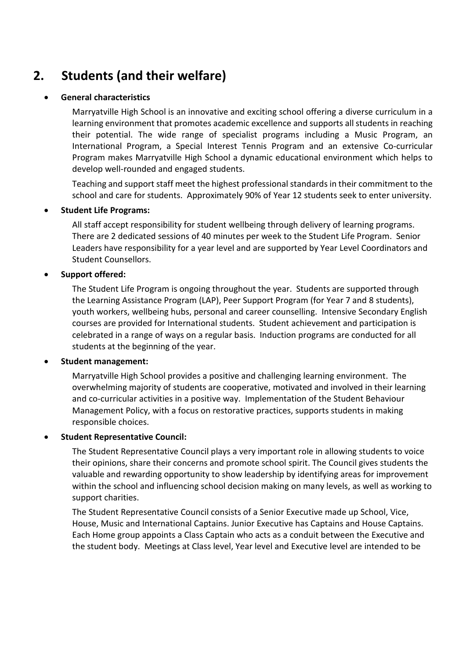# **2. Students (and their welfare)**

### • **General characteristics**

Marryatville High School is an innovative and exciting school offering a diverse curriculum in a learning environment that promotes academic excellence and supports all students in reaching their potential. The wide range of specialist programs including a Music Program, an International Program, a Special Interest Tennis Program and an extensive Co-curricular Program makes Marryatville High School a dynamic educational environment which helps to develop well-rounded and engaged students.

Teaching and support staff meet the highest professional standards in their commitment to the school and care for students. Approximately 90% of Year 12 students seek to enter university.

### • **Student Life Programs:**

All staff accept responsibility for student wellbeing through delivery of learning programs. There are 2 dedicated sessions of 40 minutes per week to the Student Life Program. Senior Leaders have responsibility for a year level and are supported by Year Level Coordinators and Student Counsellors.

### • **Support offered:**

The Student Life Program is ongoing throughout the year. Students are supported through the Learning Assistance Program (LAP), Peer Support Program (for Year 7 and 8 students), youth workers, wellbeing hubs, personal and career counselling. Intensive Secondary English courses are provided for International students. Student achievement and participation is celebrated in a range of ways on a regular basis. Induction programs are conducted for all students at the beginning of the year.

# • **Student management:**

Marryatville High School provides a positive and challenging learning environment. The overwhelming majority of students are cooperative, motivated and involved in their learning and co-curricular activities in a positive way. Implementation of the Student Behaviour Management Policy, with a focus on restorative practices, supports students in making responsible choices.

### • **Student Representative Council:**

The Student Representative Council plays a very important role in allowing students to voice their opinions, share their concerns and promote school spirit. The Council gives students the valuable and rewarding opportunity to show leadership by identifying areas for improvement within the school and influencing school decision making on many levels, as well as working to support charities.

The Student Representative Council consists of a Senior Executive made up School, Vice, House, Music and International Captains. Junior Executive has Captains and House Captains. Each Home group appoints a Class Captain who acts as a conduit between the Executive and the student body. Meetings at Class level, Year level and Executive level are intended to be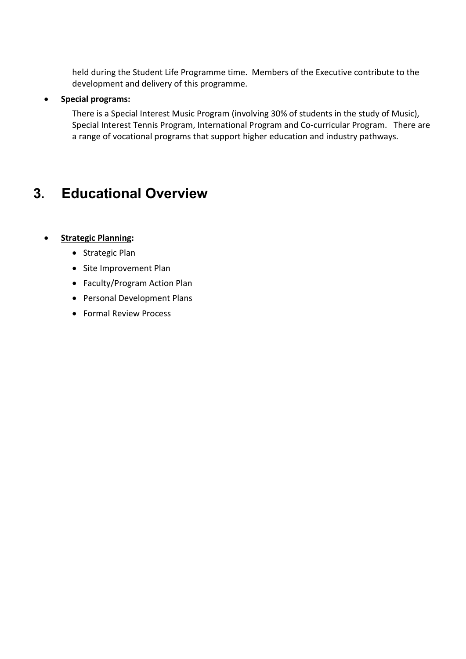held during the Student Life Programme time. Members of the Executive contribute to the development and delivery of this programme.

### • **Special programs:**

There is a Special Interest Music Program (involving 30% of students in the study of Music), Special Interest Tennis Program, International Program and Co-curricular Program. There are a range of vocational programs that support higher education and industry pathways.

# **3. Educational Overview**

# • **Strategic Planning:**

- Strategic Plan
- Site Improvement Plan
- Faculty/Program Action Plan
- Personal Development Plans
- Formal Review Process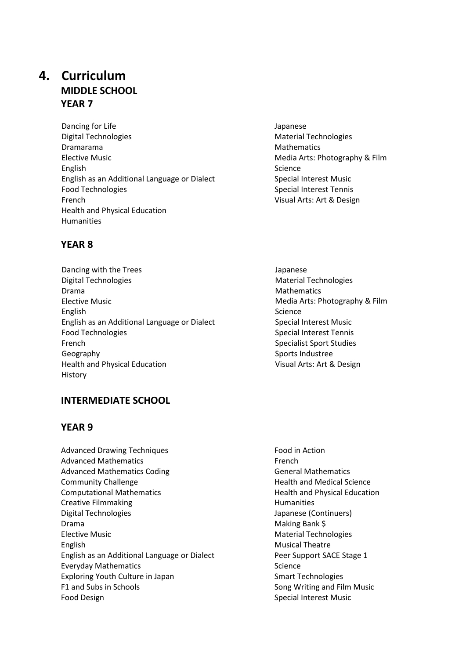# **4. Curriculum MIDDLE SCHOOL YEAR 7**

Dancing for Life Digital Technologies Dramarama Elective Music English English as an Additional Language or Dialect Food Technologies French Health and Physical Education Humanities

# **YEAR 8**

Dancing with the Trees Digital Technologies Drama Elective Music English English as an Additional Language or Dialect Food Technologies French Geography Health and Physical Education History

# **INTERMEDIATE SCHOOL**

# **YEAR 9**

Advanced Drawing Techniques Advanced Mathematics Advanced Mathematics Coding Community Challenge Computational Mathematics Creative Filmmaking Digital Technologies Drama Elective Music English English as an Additional Language or Dialect Everyday Mathematics Exploring Youth Culture in Japan F1 and Subs in Schools Food Design

- Japanese Material Technologies Mathematics Media Arts: Photography & Film Science Special Interest Music Special Interest Tennis Visual Arts: Art & Design
- Japanese Material Technologies Mathematics Media Arts: Photography & Film Science Special Interest Music Special Interest Tennis Specialist Sport Studies Sports Industree Visual Arts: Art & Design

Food in Action French General Mathematics Health and Medical Science Health and Physical Education Humanities Japanese (Continuers) Making Bank \$ Material Technologies Musical Theatre Peer Support SACE Stage 1 Science Smart Technologies Song Writing and Film Music Special Interest Music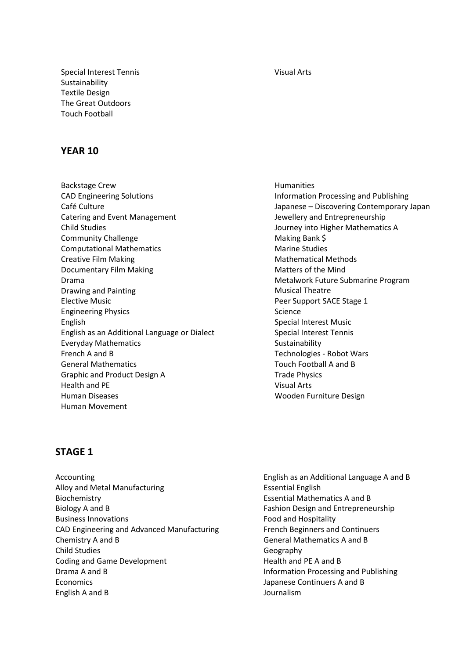Special Interest Tennis Sustainability Textile Design The Great Outdoors Touch Football

# **YEAR 10**

Backstage Crew CAD Engineering Solutions Café Culture Catering and Event Management Child Studies Community Challenge Computational Mathematics Creative Film Making Documentary Film Making Drama Drawing and Painting Elective Music Engineering Physics English English as an Additional Language or Dialect Everyday Mathematics French A and B General Mathematics Graphic and Product Design A Health and PE Human Diseases Human Movement

### Humanities Information Processing and Publishing Japanese – Discovering Contemporary Japan Jewellery and Entrepreneurship Journey into Higher Mathematics A Making Bank \$ Marine Studies Mathematical Methods Matters of the Mind Metalwork Future Submarine Program Musical Theatre Peer Support SACE Stage 1 Science Special Interest Music Special Interest Tennis Sustainability Technologies - Robot Wars Touch Football A and B Trade Physics Visual Arts Wooden Furniture Design

# **STAGE 1**

- Accounting Alloy and Metal Manufacturing Biochemistry Biology A and B Business Innovations CAD Engineering and Advanced Manufacturing Chemistry A and B Child Studies Coding and Game Development Drama A and B **Economics** English A and B
- English as an Additional Language A and B Essential English Essential Mathematics A and B Fashion Design and Entrepreneurship Food and Hospitality French Beginners and Continuers General Mathematics A and B Geography Health and PE A and B Information Processing and Publishing Japanese Continuers A and B Journalism

#### Visual Arts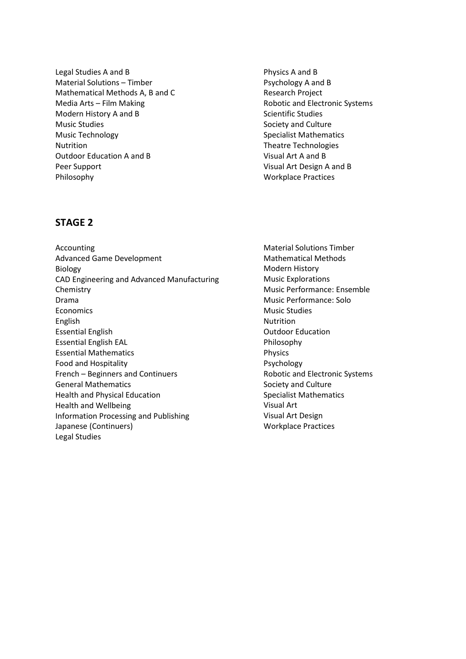Legal Studies A and B Material Solutions – Timber Mathematical Methods A, B and C Media Arts – Film Making Modern History A and B Music Studies Music Technology Nutrition Outdoor Education A and B Peer Support Philosophy

Physics A and B Psychology A and B Research Project Robotic and Electronic Systems Scientific Studies Society and Culture Specialist Mathematics Theatre Technologies Visual Art A and B Visual Art Design A and B Workplace Practices

# **STAGE 2**

Accounting Advanced Game Development Biology CAD Engineering and Advanced Manufacturing Chemistry Drama Economics English Essential English Essential English EAL Essential Mathematics Food and Hospitality French – Beginners and Continuers General Mathematics Health and Physical Education Health and Wellbeing Information Processing and Publishing Japanese (Continuers) Legal Studies

Material Solutions Timber Mathematical Methods Modern History Music Explorations Music Performance: Ensemble Music Performance: Solo Music Studies Nutrition Outdoor Education Philosophy Physics Psychology Robotic and Electronic Systems Society and Culture Specialist Mathematics Visual Art Visual Art Design Workplace Practices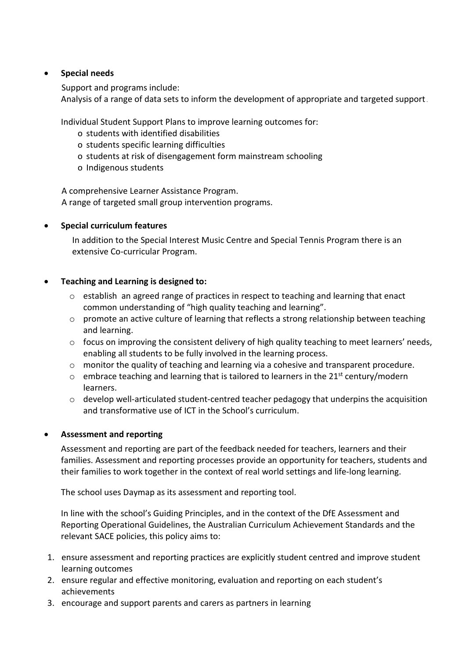# • **Special needs**

Support and programs include:

Analysis of a range of data sets to inform the development of appropriate and targeted support.

Individual Student Support Plans to improve learning outcomes for:

- o students with identified disabilities
- o students specific learning difficulties
- o students at risk of disengagement form mainstream schooling
- o Indigenous students

A comprehensive Learner Assistance Program. A range of targeted small group intervention programs.

### • **Special curriculum features**

In addition to the Special Interest Music Centre and Special Tennis Program there is an extensive Co-curricular Program.

### • **Teaching and Learning is designed to:**

- o establish an agreed range of practices in respect to teaching and learning that enact common understanding of "high quality teaching and learning".
- o promote an active culture of learning that reflects a strong relationship between teaching and learning.
- $\circ$  focus on improving the consistent delivery of high quality teaching to meet learners' needs, enabling all students to be fully involved in the learning process.
- o monitor the quality of teaching and learning via a cohesive and transparent procedure.
- $\circ$  embrace teaching and learning that is tailored to learners in the 21<sup>st</sup> century/modern learners.
- $\circ$  develop well-articulated student-centred teacher pedagogy that underpins the acquisition and transformative use of ICT in the School's curriculum.

# • **Assessment and reporting**

Assessment and reporting are part of the feedback needed for teachers, learners and their families. Assessment and reporting processes provide an opportunity for teachers, students and their families to work together in the context of real world settings and life-long learning.

The school uses Daymap as its assessment and reporting tool.

In line with the school's Guiding Principles, and in the context of the DfE Assessment and Reporting Operational Guidelines, the Australian Curriculum Achievement Standards and the relevant SACE policies, this policy aims to:

- 1. ensure assessment and reporting practices are explicitly student centred and improve student learning outcomes
- 2. ensure regular and effective monitoring, evaluation and reporting on each student's achievements
- 3. encourage and support parents and carers as partners in learning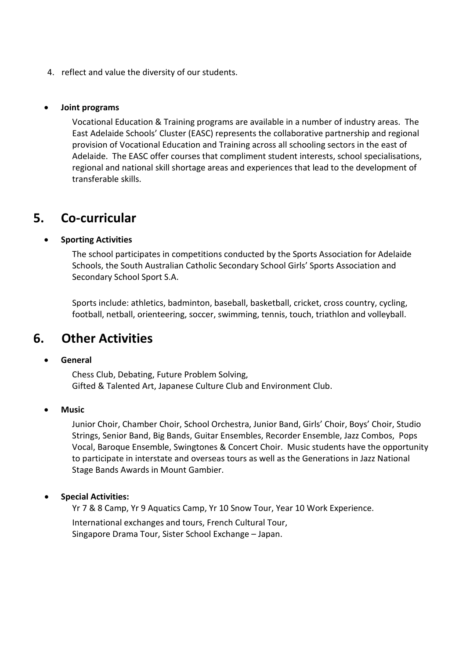4. reflect and value the diversity of our students.

### • **Joint programs**

Vocational Education & Training programs are available in a number of industry areas. The East Adelaide Schools' Cluster (EASC) represents the collaborative partnership and regional provision of Vocational Education and Training across all schooling sectors in the east of Adelaide. The EASC offer courses that compliment student interests, school specialisations, regional and national skill shortage areas and experiences that lead to the development of transferable skills.

# **5. Co-curricular**

### • **Sporting Activities**

The school participates in competitions conducted by the Sports Association for Adelaide Schools, the South Australian Catholic Secondary School Girls' Sports Association and Secondary School Sport S.A.

Sports include: athletics, badminton, baseball, basketball, cricket, cross country, cycling, football, netball, orienteering, soccer, swimming, tennis, touch, triathlon and volleyball.

# **6. Other Activities**

### • **General**

Chess Club, Debating, Future Problem Solving, Gifted & Talented Art, Japanese Culture Club and Environment Club.

• **Music**

Junior Choir, Chamber Choir, School Orchestra, Junior Band, Girls' Choir, Boys' Choir, Studio Strings, Senior Band, Big Bands, Guitar Ensembles, Recorder Ensemble, Jazz Combos, Pops Vocal, Baroque Ensemble, Swingtones & Concert Choir. Music students have the opportunity to participate in interstate and overseas tours as well as the Generations in Jazz National Stage Bands Awards in Mount Gambier.

### • **Special Activities:**

Yr 7 & 8 Camp, Yr 9 Aquatics Camp, Yr 10 Snow Tour, Year 10 Work Experience.

International exchanges and tours, French Cultural Tour, Singapore Drama Tour, Sister School Exchange – Japan.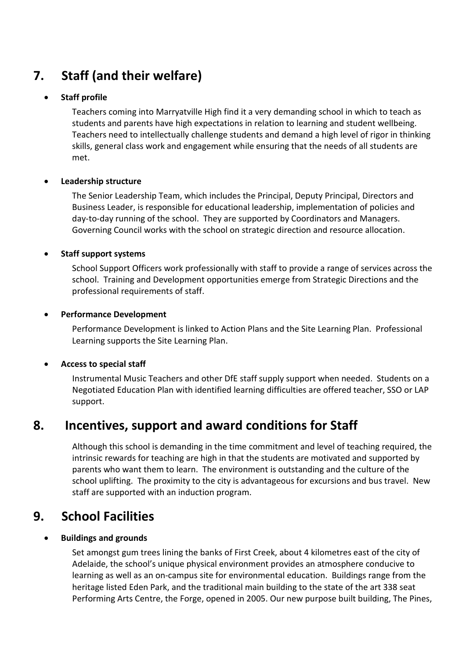# **7. Staff (and their welfare)**

# • **Staff profile**

Teachers coming into Marryatville High find it a very demanding school in which to teach as students and parents have high expectations in relation to learning and student wellbeing. Teachers need to intellectually challenge students and demand a high level of rigor in thinking skills, general class work and engagement while ensuring that the needs of all students are met.

# • **Leadership structure**

The Senior Leadership Team, which includes the Principal, Deputy Principal, Directors and Business Leader, is responsible for educational leadership, implementation of policies and day-to-day running of the school. They are supported by Coordinators and Managers. Governing Council works with the school on strategic direction and resource allocation.

# • **Staff support systems**

School Support Officers work professionally with staff to provide a range of services across the school. Training and Development opportunities emerge from Strategic Directions and the professional requirements of staff.

### • **Performance Development**

Performance Development is linked to Action Plans and the Site Learning Plan. Professional Learning supports the Site Learning Plan.

# • **Access to special staff**

Instrumental Music Teachers and other DfE staff supply support when needed. Students on a Negotiated Education Plan with identified learning difficulties are offered teacher, SSO or LAP support.

# **8. Incentives, support and award conditions for Staff**

Although this school is demanding in the time commitment and level of teaching required, the intrinsic rewards for teaching are high in that the students are motivated and supported by parents who want them to learn. The environment is outstanding and the culture of the school uplifting. The proximity to the city is advantageous for excursions and bus travel. New staff are supported with an induction program.

# **9. School Facilities**

# • **Buildings and grounds**

Set amongst gum trees lining the banks of First Creek, about 4 kilometres east of the city of Adelaide, the school's unique physical environment provides an atmosphere conducive to learning as well as an on-campus site for environmental education. Buildings range from the heritage listed Eden Park, and the traditional main building to the state of the art 338 seat Performing Arts Centre, the Forge, opened in 2005. Our new purpose built building, The Pines,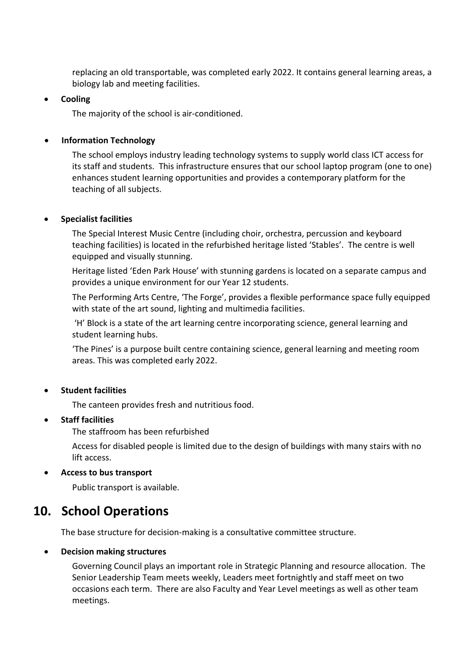replacing an old transportable, was completed early 2022. It contains general learning areas, a biology lab and meeting facilities.

### • **Cooling**

The majority of the school is air-conditioned.

# • **Information Technology**

The school employs industry leading technology systems to supply world class ICT access for its staff and students. This infrastructure ensures that our school laptop program (one to one) enhances student learning opportunities and provides a contemporary platform for the teaching of all subjects.

# • **Specialist facilities**

The Special Interest Music Centre (including choir, orchestra, percussion and keyboard teaching facilities) is located in the refurbished heritage listed 'Stables'. The centre is well equipped and visually stunning.

Heritage listed 'Eden Park House' with stunning gardens is located on a separate campus and provides a unique environment for our Year 12 students.

The Performing Arts Centre, 'The Forge', provides a flexible performance space fully equipped with state of the art sound, lighting and multimedia facilities.

'H' Block is a state of the art learning centre incorporating science, general learning and student learning hubs.

'The Pines' is a purpose built centre containing science, general learning and meeting room areas. This was completed early 2022.

# • **Student facilities**

The canteen provides fresh and nutritious food.

### • **Staff facilities**

The staffroom has been refurbished

Access for disabled people is limited due to the design of buildings with many stairs with no lift access.

### • **Access to bus transport**

Public transport is available.

# **10. School Operations**

The base structure for decision-making is a consultative committee structure.

# • **Decision making structures**

Governing Council plays an important role in Strategic Planning and resource allocation. The Senior Leadership Team meets weekly, Leaders meet fortnightly and staff meet on two occasions each term. There are also Faculty and Year Level meetings as well as other team meetings.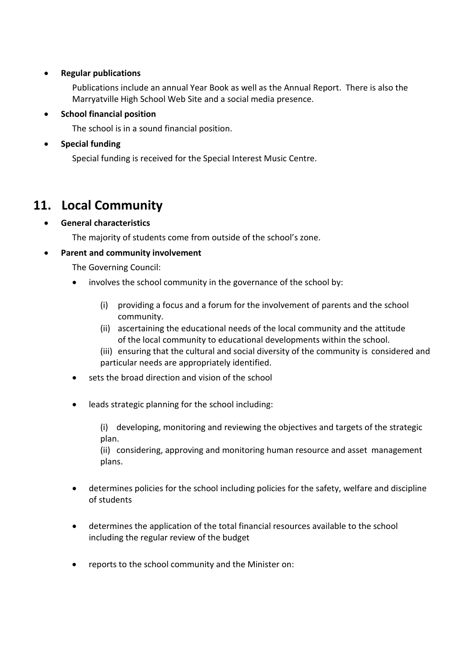# • **Regular publications**

Publications include an annual Year Book as well as the Annual Report. There is also the Marryatville High School Web Site and a social media presence.

# • **School financial position**

The school is in a sound financial position.

# • **Special funding**

Special funding is received for the Special Interest Music Centre.

# **11. Local Community**

# • **General characteristics**

The majority of students come from outside of the school's zone.

# • **Parent and community involvement**

The Governing Council:

- involves the school community in the governance of the school by:
	- (i) providing a focus and a forum for the involvement of parents and the school community.
	- (ii) ascertaining the educational needs of the local community and the attitude of the local community to educational developments within the school.
	- (iii) ensuring that the cultural and social diversity of the community is considered and particular needs are appropriately identified.
- sets the broad direction and vision of the school
- leads strategic planning for the school including:

(i) developing, monitoring and reviewing the objectives and targets of the strategic plan.

(ii) considering, approving and monitoring human resource and asset management plans.

- determines policies for the school including policies for the safety, welfare and discipline of students
- determines the application of the total financial resources available to the school including the regular review of the budget
- reports to the school community and the Minister on: